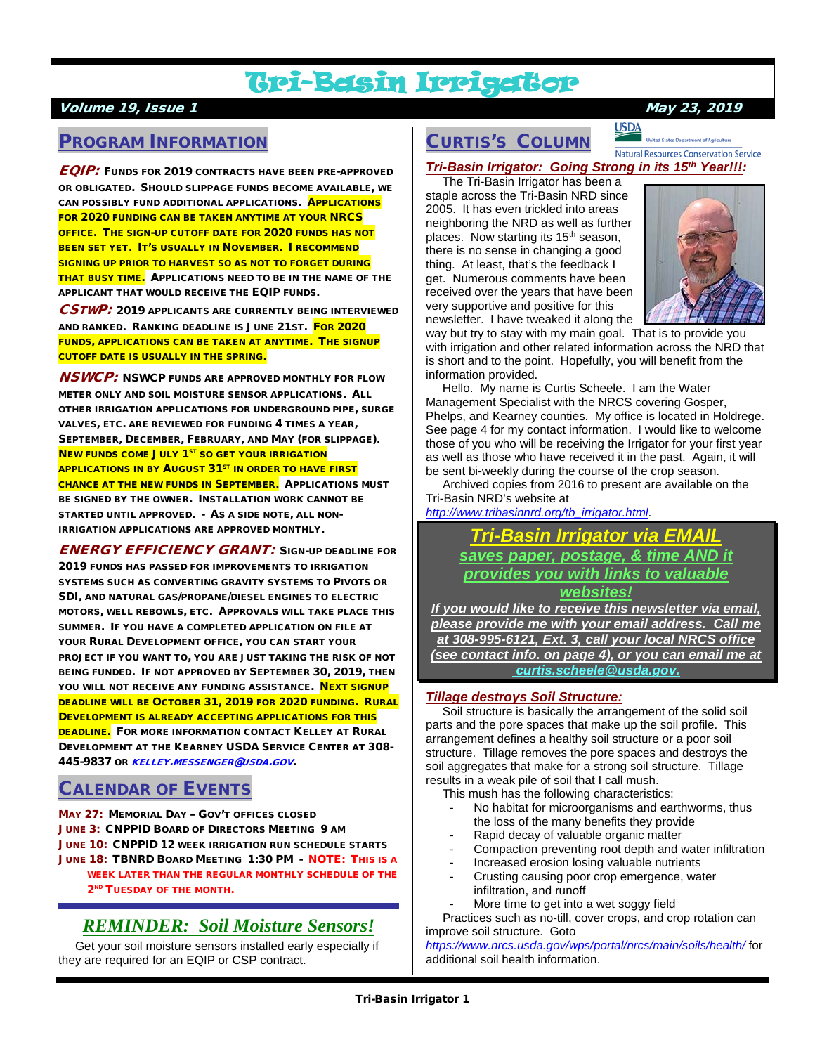# Tri-Basin Irrigator

## Volume 19, Issue 1 May 23, 2019

## PROGRAM INFORMATION

**EQIP:** FUNDS FOR 2019 CONTRACTS HAVE BEEN PRE-APPROVED OR OBLIGATED. SHOULD SLIPPAGE FUNDS BECOME AVAILABLE, WE CAN POSSIBLY FUND ADDITIONAL APPLICATIONS. APPLICATIONS FOR 2020 FUNDING CAN BE TAKEN ANYTIME AT YOUR NRCS OFFICE. THE SIGN-UP CUTOFF DATE FOR 2020 FUNDS HAS NOT BEEN SET YET. IT'S USUALLY IN NOVEMBER. I RECOMMEND SIGNING UP PRIOR TO HARVEST SO AS NOT TO FORGET DURING THAT BUSY TIME. APPLICATIONS NEED TO BE IN THE NAME OF THE APPLICANT THAT WOULD RECEIVE THE EQIP FUNDS.

CSTWP: 2019 APPLICANTS ARE CURRENTLY BEING INTERVIEWED AND RANKED. RANKING DEADLINE IS JUNE 21ST. FOR 2020 FUNDS, APPLICATIONS CAN BE TAKEN AT ANYTIME. THE SIGNUP CUTOFF DATE IS USUALLY IN THE SPRING.

**NSWCP:** NSWCP FUNDS ARE APPROVED MONTHLY FOR FLOW METER ONLY AND SOIL MOISTURE SENSOR APPLICATIONS. ALL OTHER IRRIGATION APPLICATIONS FOR UNDERGROUND PIPE, SURGE VALVES, ETC. ARE REVIEWED FOR FUNDING 4 TIMES A YEAR, SEPTEMBER, DECEMBER, FEBRUARY, AND MAY (FOR SLIPPAGE). **NEW FUNDS COME JULY 1<sup>ST</sup> SO GET YOUR IRRIGATION APPLICATIONS IN BY AUGUST 31<sup>ST</sup> IN ORDER TO HAVE FIRST** CHANCE AT THE NEW FUNDS IN SEPTEMBER. APPLICATIONS MUST BE SIGNED BY THE OWNER. INSTALLATION WORK CANNOT BE STARTED UNTIL APPROVED. - AS A SIDE NOTE, ALL NON-IRRIGATION APPLICATIONS ARE APPROVED MONTHLY.

ENERGY EFFICIENCY GRANT: SIGN-UP DEADLINE FOR 2019 FUNDS HAS PASSED FOR IMPROVEMENTS TO IRRIGATION SYSTEMS SUCH AS CONVERTING GRAVITY SYSTEMS TO PIVOTS OR SDI, AND NATURAL GAS/PROPANE/DIESEL ENGINES TO ELECTRIC MOTORS, WELL REBOWLS, ETC. APPROVALS WILL TAKE PLACE THIS SUMMER. IF YOU HAVE A COMPLETED APPLICATION ON FILE AT YOUR RURAL DEVELOPMENT OFFICE, YOU CAN START YOUR PROJECT IF YOU WANT TO, YOU ARE JUST TAKING THE RISK OF NOT BEING FUNDED. IF NOT APPROVED BY SEPTEMBER 30, 2019, THEN YOU WILL NOT RECEIVE ANY FUNDING ASSISTANCE. NEXT SIGNUP DEADLINE WILL BE OCTOBER 31, 2019 FOR 2020 FUNDING. RURAL DEVELOPMENT IS ALREADY ACCEPTING APPLICATIONS FOR THIS DEADLINE. FOR MORE INFORMATION CONTACT KELLEY AT RURAL DEVELOPMENT AT THE KEARNEY USDA SERVICE CENTER AT 308- 445-9837 OR [KELLEY.MESSENGER@USDA.GOV](mailto:kelley.messenger@usda.gov)

## CALENDAR OF EVENTS

MAY 27: MEMORIAL DAY – GOV'T OFFICES CLOSED JUNE 3: CNPPID BOARD OF DIRECTORS MEETING 9 AM JUNE 10: CNPPID 12 WEEK IRRIGATION RUN SCHEDULE STARTS JUNE 18: TBNRD BOARD MEETING 1:30 PM - NOTE: THIS IS A WEEK LATER THAN THE REGULAR MONTHLY SCHEDULE OF THE

#### 2<sup>ND</sup> TUESDAY OF THE MONTH.

# *REMINDER: Soil Moisture Sensors!*

 Get your soil moisture sensors installed early especially if they are required for an EQIP or CSP contract.

# CURTIS'S COLUMN

**Natural Resources Conservation Service** 

*Tri-Basin Irrigator: Going Strong in its 15th Year!!!:*

**USDA** 

 The Tri-Basin Irrigator has been a staple across the Tri-Basin NRD since 2005. It has even trickled into areas neighboring the NRD as well as further places. Now starting its 15<sup>th</sup> season, there is no sense in changing a good thing. At least, that's the feedback I get. Numerous comments have been received over the years that have been very supportive and positive for this newsletter. I have tweaked it along the



way but try to stay with my main goal. That is to provide you with irrigation and other related information across the NRD that is short and to the point. Hopefully, you will benefit from the information provided.

 Hello. My name is Curtis Scheele. I am the Water Management Specialist with the NRCS covering Gosper, Phelps, and Kearney counties. My office is located in Holdrege. See page 4 for my contact information. I would like to welcome those of you who will be receiving the Irrigator for your first year as well as those who have received it in the past. Again, it will be sent bi-weekly during the course of the crop season.

 Archived copies from 2016 to present are available on the Tri-Basin NRD's website at

*[http://www.tribasinnrd.org/tb\\_irrigator.html](http://www.tribasinnrd.org/tb_irrigator.html)*.

*Tri-Basin Irrigator via EMAIL saves paper, postage, & time AND it provides you with links to valuable websites!*

*If you would like to receive this newsletter via email, please provide me with your email address. Call me at 308-995-6121, Ext. 3, call your local NRCS office (see contact info. on page 4), or you can email me at [curtis.scheele@usda.gov.](mailto:curtis.scheele@usda.gov)* 

### *Tillage destroys Soil Structure:*

 Soil structure is basically the arrangement of the solid soil parts and the pore spaces that make up the soil profile. This arrangement defines a healthy soil structure or a poor soil structure. Tillage removes the pore spaces and destroys the soil aggregates that make for a strong soil structure. Tillage results in a weak pile of soil that I call mush.

This mush has the following characteristics:

- No habitat for microorganisms and earthworms, thus the loss of the many benefits they provide
- Rapid decay of valuable organic matter
- Compaction preventing root depth and water infiltration
- Increased erosion losing valuable nutrients Crusting causing poor crop emergence, water
- infiltration, and runoff
- More time to get into a wet soggy field

 Practices such as no-till, cover crops, and crop rotation can improve soil structure. Goto

*<https://www.nrcs.usda.gov/wps/portal/nrcs/main/soils/health/>* for additional soil health information.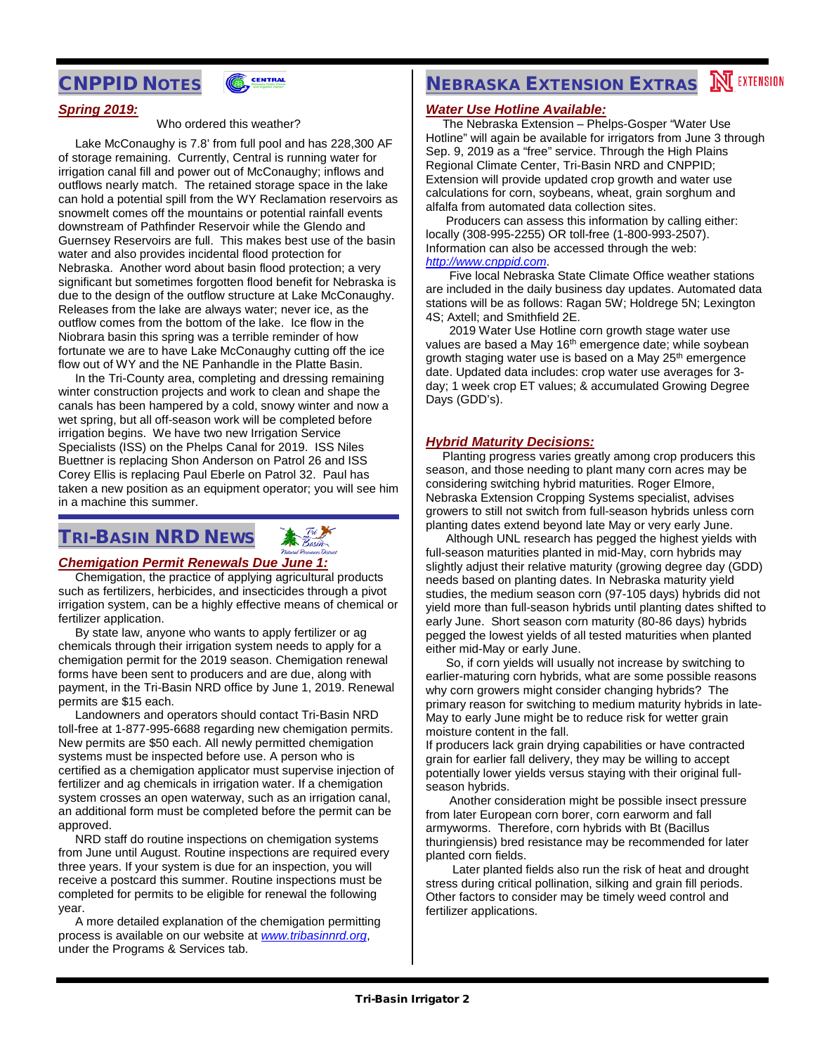## CNPPID NOTES



#### *Spring 2019:*

#### Who ordered this weather?

 Lake McConaughy is 7.8' from full pool and has 228,300 AF of storage remaining. Currently, Central is running water for irrigation canal fill and power out of McConaughy; inflows and outflows nearly match. The retained storage space in the lake can hold a potential spill from the WY Reclamation reservoirs as snowmelt comes off the mountains or potential rainfall events downstream of Pathfinder Reservoir while the Glendo and Guernsey Reservoirs are full. This makes best use of the basin water and also provides incidental flood protection for Nebraska. Another word about basin flood protection; a very significant but sometimes forgotten flood benefit for Nebraska is due to the design of the outflow structure at Lake McConaughy. Releases from the lake are always water; never ice, as the outflow comes from the bottom of the lake. Ice flow in the Niobrara basin this spring was a terrible reminder of how fortunate we are to have Lake McConaughy cutting off the ice flow out of WY and the NE Panhandle in the Platte Basin.

 In the Tri-County area, completing and dressing remaining winter construction projects and work to clean and shape the canals has been hampered by a cold, snowy winter and now a wet spring, but all off-season work will be completed before irrigation begins. We have two new Irrigation Service Specialists (ISS) on the Phelps Canal for 2019. ISS Niles Buettner is replacing Shon Anderson on Patrol 26 and ISS Corey Ellis is replacing Paul Eberle on Patrol 32. Paul has taken a new position as an equipment operator; you will see him in a machine this summer.

# TRI-BASIN NRD NEWS

### *Chemigation Permit Renewals Due June 1:*

 Chemigation, the practice of applying agricultural products such as fertilizers, herbicides, and insecticides through a pivot irrigation system, can be a highly effective means of chemical or fertilizer application.

 By state law, anyone who wants to apply fertilizer or ag chemicals through their irrigation system needs to apply for a chemigation permit for the 2019 season. Chemigation renewal forms have been sent to producers and are due, along with payment, in the Tri-Basin NRD office by June 1, 2019. Renewal permits are \$15 each.

 Landowners and operators should contact Tri-Basin NRD toll-free at 1-877-995-6688 regarding new chemigation permits. New permits are \$50 each. All newly permitted chemigation systems must be inspected before use. A person who is certified as a chemigation applicator must supervise injection of fertilizer and ag chemicals in irrigation water. If a chemigation system crosses an open waterway, such as an irrigation canal, an additional form must be completed before the permit can be approved.

 NRD staff do routine inspections on chemigation systems from June until August. Routine inspections are required every three years. If your system is due for an inspection, you will receive a postcard this summer. Routine inspections must be completed for permits to be eligible for renewal the following year.

 A more detailed explanation of the chemigation permitting process is available on our website at *[www.tribasinnrd.org](http://www.tribasinnrd.org/)*, under the Programs & Services tab.

# **NEBRASKA EXTENSION EXTRAS MEXTENSION**

#### *Water Use Hotline Available:*

 The Nebraska Extension – Phelps-Gosper "Water Use Hotline" will again be available for irrigators from June 3 through Sep. 9, 2019 as a "free" service. Through the High Plains Regional Climate Center, Tri-Basin NRD and CNPPID; Extension will provide updated crop growth and water use calculations for corn, soybeans, wheat, grain sorghum and alfalfa from automated data collection sites.

 Producers can assess this information by calling either: locally (308-995-2255) OR toll-free (1-800-993-2507). Information can also be accessed through the web: *[http://www.cnppid.com](http://www.cnppid.com/)*.

 Five local Nebraska State Climate Office weather stations are included in the daily business day updates. Automated data stations will be as follows: Ragan 5W; Holdrege 5N; Lexington 4S; Axtell; and Smithfield 2E.

 2019 Water Use Hotline corn growth stage water use values are based a May 16<sup>th</sup> emergence date; while soybean growth staging water use is based on a May 25<sup>th</sup> emergence date. Updated data includes: crop water use averages for 3 day; 1 week crop ET values; & accumulated Growing Degree Days (GDD's).

#### *Hybrid Maturity Decisions:*

 Planting progress varies greatly among crop producers this season, and those needing to plant many corn acres may be considering switching hybrid maturities. Roger Elmore, Nebraska Extension Cropping Systems specialist, advises growers to still not switch from full-season hybrids unless corn planting dates extend beyond late May or very early June.

 Although UNL research has pegged the highest yields with full-season maturities planted in mid-May, corn hybrids may slightly adjust their relative maturity (growing degree day (GDD) needs based on planting dates. In Nebraska maturity yield studies, the medium season corn (97-105 days) hybrids did not yield more than full-season hybrids until planting dates shifted to early June. Short season corn maturity (80-86 days) hybrids pegged the lowest yields of all tested maturities when planted either mid-May or early June.

 So, if corn yields will usually not increase by switching to earlier-maturing corn hybrids, what are some possible reasons why corn growers might consider changing hybrids? The primary reason for switching to medium maturity hybrids in late-May to early June might be to reduce risk for wetter grain moisture content in the fall.

If producers lack grain drying capabilities or have contracted grain for earlier fall delivery, they may be willing to accept potentially lower yields versus staying with their original fullseason hybrids.

 Another consideration might be possible insect pressure from later European corn borer, corn earworm and fall armyworms. Therefore, corn hybrids with Bt (Bacillus thuringiensis) bred resistance may be recommended for later planted corn fields.

 Later planted fields also run the risk of heat and drought stress during critical pollination, silking and grain fill periods. Other factors to consider may be timely weed control and fertilizer applications.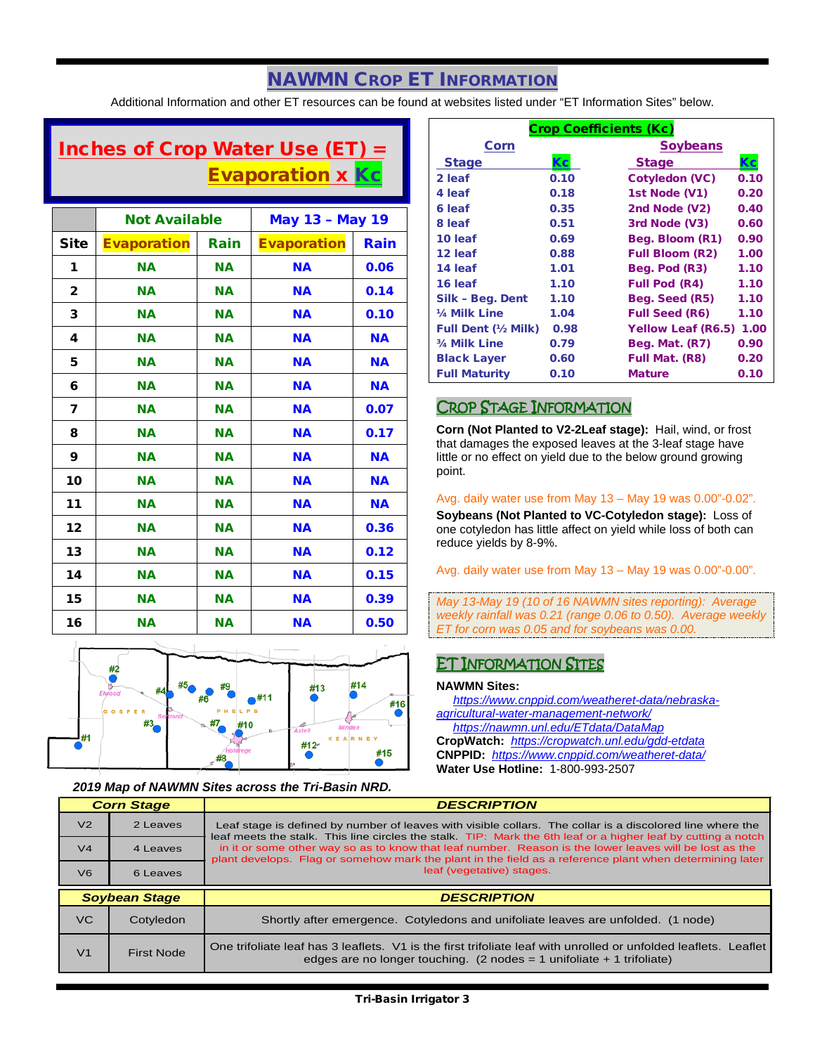# NAWMN CROP ET INFORMATION

Additional Information and other ET resources can be found at websites listed under "ET Information Sites" below.

# Inches of Crop Water Use (ET) = **Evaporation x Kc**

|              | <b>Not Available</b> |           | <b>May 13 - May 19</b> |           |
|--------------|----------------------|-----------|------------------------|-----------|
| Site         | <b>Evaporation</b>   | Rain      | <b>Evaporation</b>     | Rain      |
| 1            | <b>NA</b>            | <b>NA</b> | <b>NA</b>              | 0.06      |
| $\mathbf{2}$ | <b>NA</b>            | <b>NA</b> | <b>NA</b>              | 0.14      |
| 3            | <b>NA</b>            | <b>NA</b> | <b>NA</b>              | 0.10      |
| 4            | <b>NA</b>            | <b>NA</b> | <b>NA</b>              | <b>NA</b> |
| 5            | <b>NA</b>            | <b>NA</b> | <b>NA</b>              | <b>NA</b> |
| 6            | <b>NA</b>            | <b>NA</b> | <b>NA</b>              | <b>NA</b> |
| 7            | <b>NA</b>            | <b>NA</b> | <b>NA</b>              | 0.07      |
| 8            | <b>NA</b>            | <b>NA</b> | <b>NA</b>              | 0.17      |
| 9            | <b>NA</b>            | <b>NA</b> | <b>NA</b>              | <b>NA</b> |
| 10           | <b>NA</b>            | <b>NA</b> | <b>NA</b>              | <b>NA</b> |
| 11           | <b>NA</b>            | <b>NA</b> | <b>NA</b>              | <b>NA</b> |
| 12           | <b>NA</b>            | <b>NA</b> | <b>NA</b>              | 0.36      |
| 13           | <b>NA</b>            | <b>NA</b> | <b>NA</b>              | 0.12      |
| 14           | <b>NA</b>            | <b>NA</b> | <b>NA</b>              | 0.15      |
| 15           | <b>NA</b>            | <b>NA</b> | <b>NA</b>              | 0.39      |
| 16           | <b>NA</b>            | <b>NA</b> | <b>NA</b>              | 0.50      |



#### *2019 Map of NAWMN Sites across the Tri-Basin NRD.*

| <b>Crop Coefficients (Kc)</b> |      |                           |      |  |
|-------------------------------|------|---------------------------|------|--|
| Corn                          |      | <b>Soybeans</b>           |      |  |
| <b>Stage</b>                  | Кc   | <b>Stage</b>              | Кc   |  |
| 2 leaf                        | 0.10 | <b>Cotyledon (VC)</b>     | 0.10 |  |
| 4 leaf                        | 0.18 | 1st Node (V1)             | 0.20 |  |
| 6 leaf                        | 0.35 | 2nd Node (V2)             | 0.40 |  |
| 8 leaf                        | 0.51 | 3rd Node (V3)             | 0.60 |  |
| 10 leaf                       | 0.69 | Beg. Bloom (R1)           | 0.90 |  |
| 12 leaf                       | 0.88 | <b>Full Bloom (R2)</b>    | 1.00 |  |
| 14 leaf                       | 1.01 | Beg. Pod (R3)             | 1.10 |  |
| 16 leaf                       | 1.10 | <b>Full Pod (R4)</b>      | 1.10 |  |
| Silk - Beg. Dent              | 1.10 | Beg. Seed (R5)            | 1.10 |  |
| 1/4 Milk Line                 | 1.04 | <b>Full Seed (R6)</b>     | 1.10 |  |
| <b>Full Dent (1/2 Milk)</b>   | 0.98 | <b>Yellow Leaf (R6.5)</b> | 1.00 |  |
| 3/4 Milk Line                 | 0.79 | Beg. Mat. (R7)            | 0.90 |  |
| <b>Black Layer</b>            | 0.60 | Full Mat. (R8)            | 0.20 |  |
| <b>Full Maturity</b>          | 0.10 | <b>Mature</b>             | 0.10 |  |

## CROP STAGE INFORMATION

**Corn (Not Planted to V2-2Leaf stage):** Hail, wind, or frost that damages the exposed leaves at the 3-leaf stage have little or no effect on yield due to the below ground growing point.

#### Avg. daily water use from May 13 – May 19 was 0.00"-0.02".

**Soybeans (Not Planted to VC-Cotyledon stage):** Loss of one cotyledon has little affect on yield while loss of both can reduce yields by 8-9%.

Avg. daily water use from May 13 – May 19 was 0.00"-0.00".

*May 13-May 19 (10 of 16 NAWMN sites reporting): Average weekly rainfall was 0.21 (range 0.06 to 0.50). Average weekly ET for corn was 0.05 and for soybeans was 0.00.*

## ET INFORMATION SITES

#### **NAWMN Sites:**

 *[https://www.cnppid.com/weatheret-data/nebraska](https://www.cnppid.com/weatheret-data/nebraska-agricultural-water-management-network/)[agricultural-water-management-network/](https://www.cnppid.com/weatheret-data/nebraska-agricultural-water-management-network/) <https://nawmn.unl.edu/ETdata/DataMap>* **CropWatch:** *<https://cropwatch.unl.edu/gdd-etdata>* **CNPPID:** *<https://www.cnppid.com/weatheret-data/>* **Water Use Hotline:** 1-800-993-2507

| <b>Corn Stage</b> |                      | <b>DESCRIPTION</b>                                                                                                                                                                                                         |  |  |
|-------------------|----------------------|----------------------------------------------------------------------------------------------------------------------------------------------------------------------------------------------------------------------------|--|--|
| V <sub>2</sub>    | 2 Leaves             | Leaf stage is defined by number of leaves with visible collars. The collar is a discolored line where the<br>leaf meets the stalk. This line circles the stalk. TIP: Mark the 6th leaf or a higher leaf by cutting a notch |  |  |
| V <sub>4</sub>    | 4 Leaves             | in it or some other way so as to know that leaf number. Reason is the lower leaves will be lost as the<br>plant develops. Flag or somehow mark the plant in the field as a reference plant when determining later          |  |  |
| V <sub>6</sub>    | 6 Leaves             | leaf (vegetative) stages.                                                                                                                                                                                                  |  |  |
|                   |                      |                                                                                                                                                                                                                            |  |  |
|                   | <b>Soybean Stage</b> | <b>DESCRIPTION</b>                                                                                                                                                                                                         |  |  |
| VC.               | Cotyledon            | Shortly after emergence. Cotyledons and unifoliate leaves are unfolded. (1 node)                                                                                                                                           |  |  |